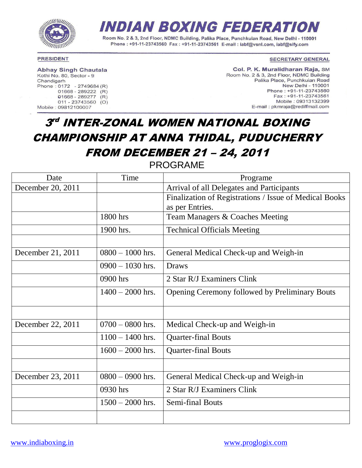

# INDIAN BOXING FEDERATION

Room No. 2 & 3, 2nd Floor, NDMC Building, Palika Place, Punchkuian Road, New Delhi - 110001 Phone: +91-11-23743560 Fax: +91-11-23743561 E-mail: iabf@vsnl.com. iabf@sifv.com

### **PRESIDENT**

**Abhay Singh Chautala** 

Kothi No. 80, Sector - 9 Chandigarh Phone: 0172 - 2749684 (R)  $01668 - 289222$  (R)  $01668 - 289277$  (R)  $011 - 23743560$  (O) Mobile: 09812100007

#### **SECRETARY GENERAL**

Col. P. K. Muralidharan Raja, SM Room No. 2 & 3, 2nd Floor, NDMC Building Palika Place, Punchkuian Road New Delhi - 110001 Phone: +91-11-23743560 Fax: +91-11-23743561 Mobile: 09313132399 E-mail: pkmraja@rediffmail.com

# 3rd INTER-ZONAL WOMEN NATIONAL BOXING CHAMPIONSHIP AT ANNA THIDAL, PUDUCHERRY FROM DECEMBER 21 – 24, 2011

PROGRAME

| Date              | Time               | Programe                                               |  |  |
|-------------------|--------------------|--------------------------------------------------------|--|--|
| December 20, 2011 |                    | Arrival of all Delegates and Participants              |  |  |
|                   |                    | Finalization of Registrations / Issue of Medical Books |  |  |
|                   |                    | as per Entries.                                        |  |  |
|                   | 1800 hrs           | Team Managers & Coaches Meeting                        |  |  |
|                   | 1900 hrs.          | <b>Technical Officials Meeting</b>                     |  |  |
|                   |                    |                                                        |  |  |
| December 21, 2011 | $0800 - 1000$ hrs. | General Medical Check-up and Weigh-in                  |  |  |
|                   | $0900 - 1030$ hrs. | <b>Draws</b>                                           |  |  |
|                   | 0900 hrs           | 2 Star R/J Examiners Clink                             |  |  |
|                   | $1400 - 2000$ hrs. | Opening Ceremony followed by Preliminary Bouts         |  |  |
|                   |                    |                                                        |  |  |
| December 22, 2011 | $0700 - 0800$ hrs. | Medical Check-up and Weigh-in                          |  |  |
|                   | $1100 - 1400$ hrs. | <b>Quarter-final Bouts</b>                             |  |  |
|                   | $1600 - 2000$ hrs. | <b>Quarter-final Bouts</b>                             |  |  |
|                   |                    |                                                        |  |  |
| December 23, 2011 | $0800 - 0900$ hrs. | General Medical Check-up and Weigh-in                  |  |  |
|                   | 0930 hrs           | 2 Star R/J Examiners Clink                             |  |  |
|                   | $1500 - 2000$ hrs. | <b>Semi-final Bouts</b>                                |  |  |
|                   |                    |                                                        |  |  |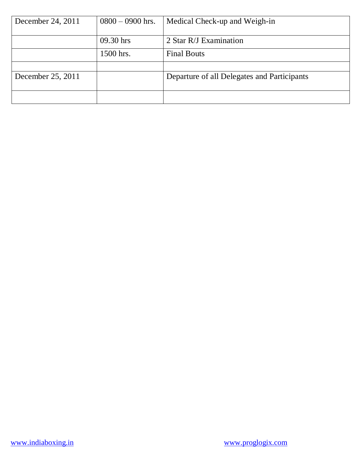| December 24, 2011 | $0800 - 0900$ hrs. | Medical Check-up and Weigh-in               |
|-------------------|--------------------|---------------------------------------------|
|                   | 09.30 hrs          | 2 Star R/J Examination                      |
|                   | 1500 hrs.          | <b>Final Bouts</b>                          |
|                   |                    |                                             |
| December 25, 2011 |                    | Departure of all Delegates and Participants |
|                   |                    |                                             |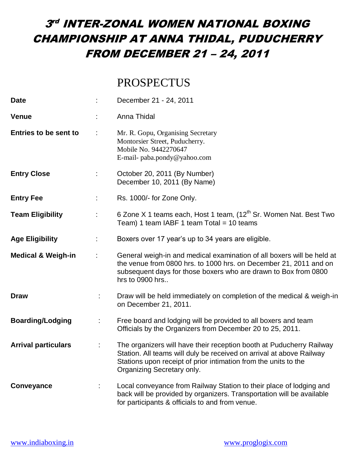### PROSPECTUS

| <b>Date</b>                   |   | December 21 - 24, 2011                                                                                                                                                                                                                        |
|-------------------------------|---|-----------------------------------------------------------------------------------------------------------------------------------------------------------------------------------------------------------------------------------------------|
| <b>Venue</b>                  |   | Anna Thidal                                                                                                                                                                                                                                   |
| <b>Entries to be sent to</b>  |   | Mr. R. Gopu, Organising Secretary<br>Montorsier Street, Puducherry.<br>Mobile No. 9442270647<br>E-mail- paba.pondy@yahoo.com                                                                                                                  |
| <b>Entry Close</b>            |   | October 20, 2011 (By Number)<br>December 10, 2011 (By Name)                                                                                                                                                                                   |
| <b>Entry Fee</b>              |   | Rs. 1000/- for Zone Only.                                                                                                                                                                                                                     |
| <b>Team Eligibility</b>       |   | 6 Zone X 1 teams each, Host 1 team, (12 <sup>th</sup> Sr. Women Nat. Best Two<br>Team) 1 team IABF 1 team Total = 10 teams                                                                                                                    |
| <b>Age Eligibility</b>        |   | Boxers over 17 year's up to 34 years are eligible.                                                                                                                                                                                            |
| <b>Medical &amp; Weigh-in</b> |   | General weigh-in and medical examination of all boxers will be held at<br>the venue from 0800 hrs. to 1000 hrs. on December 21, 2011 and on<br>subsequent days for those boxers who are drawn to Box from 0800<br>hrs to 0900 hrs             |
| <b>Draw</b>                   | ÷ | Draw will be held immediately on completion of the medical & weigh-in<br>on December 21, 2011.                                                                                                                                                |
| <b>Boarding/Lodging</b>       | ÷ | Free board and lodging will be provided to all boxers and team<br>Officials by the Organizers from December 20 to 25, 2011.                                                                                                                   |
| <b>Arrival particulars</b>    |   | The organizers will have their reception booth at Puducherry Railway<br>Station. All teams will duly be received on arrival at above Railway<br>Stations upon receipt of prior intimation from the units to the<br>Organizing Secretary only. |
| Conveyance                    | ÷ | Local conveyance from Railway Station to their place of lodging and<br>back will be provided by organizers. Transportation will be available<br>for participants & officials to and from venue.                                               |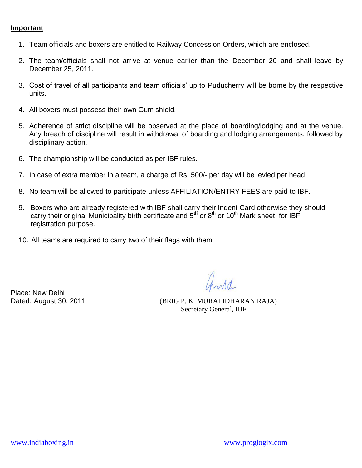### **Important**

- 1. Team officials and boxers are entitled to Railway Concession Orders, which are enclosed.
- 2. The team/officials shall not arrive at venue earlier than the December 20 and shall leave by December 25, 2011.
- 3. Cost of travel of all participants and team officials' up to Puducherry will be borne by the respective units.
- 4. All boxers must possess their own Gum shield.
- 5. Adherence of strict discipline will be observed at the place of boarding/lodging and at the venue. Any breach of discipline will result in withdrawal of boarding and lodging arrangements, followed by disciplinary action.
- 6. The championship will be conducted as per IBF rules.
- 7. In case of extra member in a team, a charge of Rs. 500/- per day will be levied per head.
- 8. No team will be allowed to participate unless AFFILIATION/ENTRY FEES are paid to IBF.
- 9. Boxers who are already registered with IBF shall carry their Indent Card otherwise they should carry their original Municipality birth certificate and  $5<sup>th</sup>$  or  $8<sup>th</sup>$  or 10<sup>th</sup> Mark sheet for IBF registration purpose.
	- 10. All teams are required to carry two of their flags with them.

Place: New Delhi

Dated: August 30, 2011 (BRIG P. K. MURALIDHARAN RAJA) Secretary General, IBF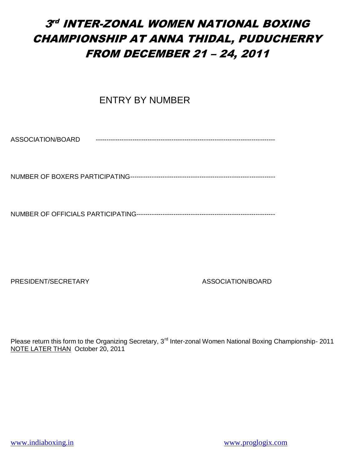**ENTRY BY NUMBER** 

ASSOCIATION/BOARD -----------------------------------------------------------------------------------

NUMBER OF BOXERS PARTICIPATING-------------------------------------------------------------------

NUMBER OF OFFICIALS PARTICIPATING----------------------------------------------------------------

PRESIDENT/SECRETARY ASSOCIATION/BOARD

Please return this form to the Organizing Secretary, 3<sup>rd</sup> Inter-zonal Women National Boxing Championship- 2011 NOTE LATER THAN October 20, 2011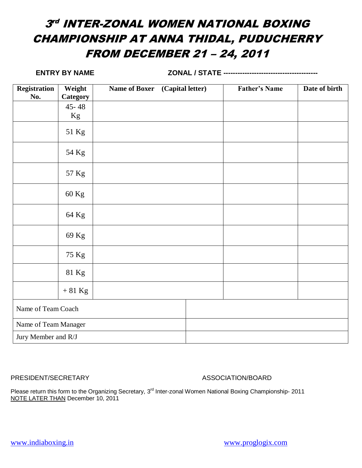**ENTRY BY NAME ZONAL / STATE ----------------------------------------**

| <b>Registration</b>  | Weight    | <b>Name of Boxer</b> | (Capital letter) | <b>Father's Name</b> | Date of birth |
|----------------------|-----------|----------------------|------------------|----------------------|---------------|
| No.                  | Category  |                      |                  |                      |               |
|                      | $45 - 48$ |                      |                  |                      |               |
|                      | Kg        |                      |                  |                      |               |
|                      | 51 Kg     |                      |                  |                      |               |
|                      | 54 Kg     |                      |                  |                      |               |
|                      | 57 Kg     |                      |                  |                      |               |
|                      | 60 Kg     |                      |                  |                      |               |
|                      | 64 Kg     |                      |                  |                      |               |
|                      | 69 Kg     |                      |                  |                      |               |
|                      | 75 Kg     |                      |                  |                      |               |
|                      | 81 Kg     |                      |                  |                      |               |
|                      | $+81$ Kg  |                      |                  |                      |               |
| Name of Team Coach   |           |                      |                  |                      |               |
| Name of Team Manager |           |                      |                  |                      |               |
| Jury Member and R/J  |           |                      |                  |                      |               |

PRESIDENT/SECRETARY ASSOCIATION/BOARD

Please return this form to the Organizing Secretary, 3<sup>rd</sup> Inter-zonal Women National Boxing Championship- 2011 NOTE LATER THAN December 10, 2011